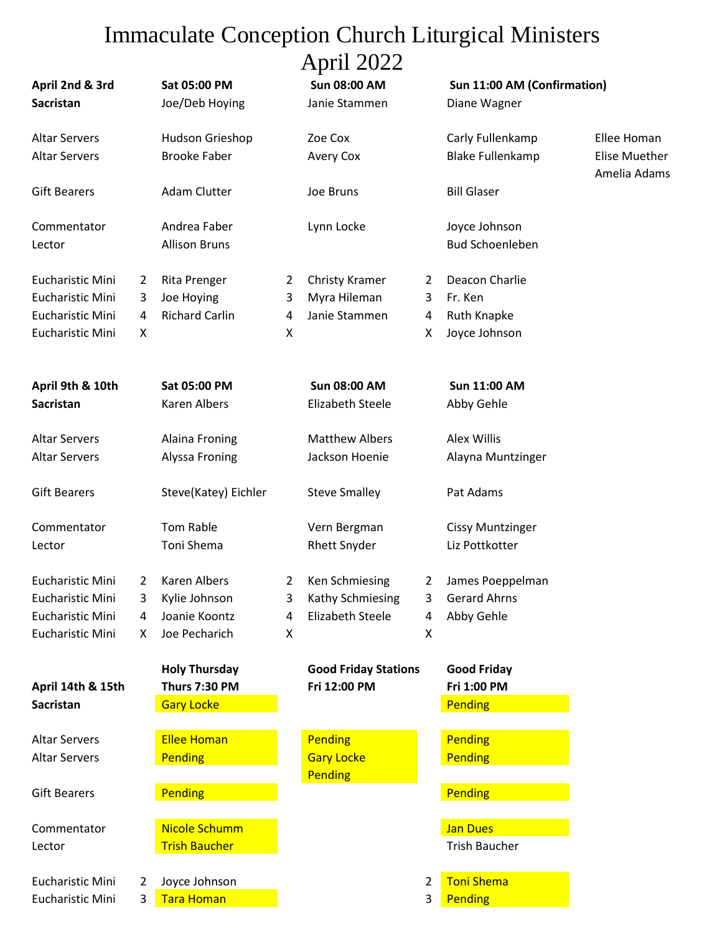## Immaculate Conception Church Liturgical Ministers April 2022

|                                     |                |                                |                | $1$ ipin 2022                        |              |                                             |                               |
|-------------------------------------|----------------|--------------------------------|----------------|--------------------------------------|--------------|---------------------------------------------|-------------------------------|
| April 2nd & 3rd<br><b>Sacristan</b> |                | Sat 05:00 PM<br>Joe/Deb Hoying |                | <b>Sun 08:00 AM</b><br>Janie Stammen |              | Sun 11:00 AM (Confirmation)<br>Diane Wagner |                               |
|                                     |                |                                |                |                                      |              |                                             |                               |
| <b>Altar Servers</b>                |                | Hudson Grieshop                |                | Zoe Cox                              |              | Carly Fullenkamp                            | Ellee Homan                   |
| <b>Altar Servers</b>                |                | <b>Brooke Faber</b>            |                | Avery Cox                            |              | <b>Blake Fullenkamp</b>                     | Elise Muether<br>Amelia Adams |
| <b>Gift Bearers</b>                 |                | Adam Clutter                   |                | Joe Bruns                            |              | <b>Bill Glaser</b>                          |                               |
| Commentator                         |                | Andrea Faber                   |                | Lynn Locke                           |              | Joyce Johnson                               |                               |
| Lector                              |                | <b>Allison Bruns</b>           |                |                                      |              | <b>Bud Schoenleben</b>                      |                               |
| <b>Eucharistic Mini</b>             | 2              | Rita Prenger                   | 2              | Christy Kramer                       | 2            | Deacon Charlie                              |                               |
| Eucharistic Mini                    | 3              | Joe Hoying                     | 3              | Myra Hileman                         | 3            | Fr. Ken                                     |                               |
| Eucharistic Mini                    | 4              | <b>Richard Carlin</b>          | 4              | Janie Stammen                        | 4            | <b>Ruth Knapke</b>                          |                               |
| Eucharistic Mini                    | X              |                                | X              |                                      | X            | Joyce Johnson                               |                               |
| April 9th & 10th                    |                | Sat 05:00 PM                   |                | <b>Sun 08:00 AM</b>                  |              | <b>Sun 11:00 AM</b>                         |                               |
| <b>Sacristan</b>                    |                | <b>Karen Albers</b>            |                | <b>Elizabeth Steele</b>              |              | Abby Gehle                                  |                               |
| <b>Altar Servers</b>                |                | Alaina Froning                 |                | <b>Matthew Albers</b>                |              | <b>Alex Willis</b>                          |                               |
| <b>Altar Servers</b>                |                | Alyssa Froning                 |                | Jackson Hoenie                       |              | Alayna Muntzinger                           |                               |
| <b>Gift Bearers</b>                 |                | Steve(Katey) Eichler           |                | <b>Steve Smalley</b>                 |              | Pat Adams                                   |                               |
| Commentator                         |                | Tom Rable                      |                | Vern Bergman                         |              | <b>Cissy Muntzinger</b>                     |                               |
| Lector                              |                | Toni Shema                     |                | <b>Rhett Snyder</b>                  |              | Liz Pottkotter                              |                               |
| Eucharistic Mini                    | $\overline{2}$ | <b>Karen Albers</b>            | $\overline{2}$ | Ken Schmiesing                       | $\mathbf{2}$ | James Poeppelman                            |                               |
| Eucharistic Mini                    |                | Kylie Johnson                  |                | Kathy Schmiesing                     | 3            | <b>Gerard Ahrns</b>                         |                               |
| <b>Eucharistic Mini</b>             | 4              | Joanie Koontz                  | 4              | <b>Elizabeth Steele</b>              | 4            | Abby Gehle                                  |                               |
| Eucharistic Mini                    | X.             | Joe Pecharich                  | Χ              |                                      | X            |                                             |                               |
|                                     |                | <b>Holy Thursday</b>           |                | <b>Good Friday Stations</b>          |              | <b>Good Friday</b>                          |                               |
| April 14th & 15th                   |                | <b>Thurs 7:30 PM</b>           |                | Fri 12:00 PM                         |              | Fri 1:00 PM                                 |                               |
| <b>Sacristan</b>                    |                | <b>Gary Locke</b>              |                |                                      |              | Pending                                     |                               |
| <b>Altar Servers</b>                |                | <b>Ellee Homan</b>             |                | Pending                              |              | Pending                                     |                               |
| <b>Altar Servers</b>                |                | Pending                        |                | <b>Gary Locke</b><br>Pending         |              | Pending                                     |                               |
| <b>Gift Bearers</b>                 |                | Pending                        |                |                                      |              | Pending                                     |                               |
| Commentator                         |                | <b>Nicole Schumm</b>           |                |                                      |              | <b>Jan Dues</b>                             |                               |
| Lector                              |                | <b>Trish Baucher</b>           |                |                                      |              | <b>Trish Baucher</b>                        |                               |
| <b>Eucharistic Mini</b>             | 2              | Joyce Johnson                  |                |                                      | 2            | <b>Toni Shema</b>                           |                               |
| Eucharistic Mini                    | 3              | <b>Tara Homan</b>              |                |                                      | 3            | Pending                                     |                               |